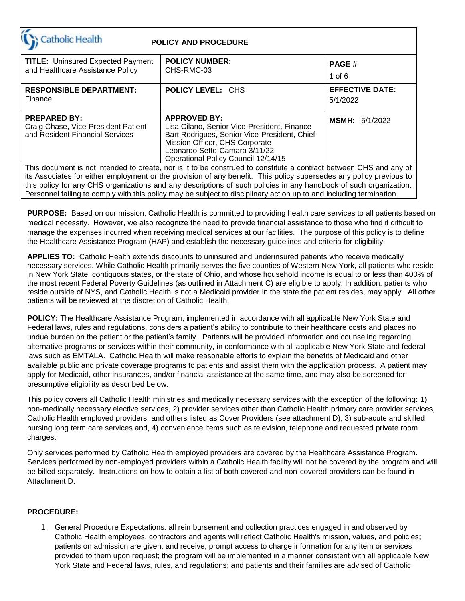| Catholic Health                                                                                                                                                                                                                                                                                                                                                                                                                                                                       | <b>POLICY AND PROCEDURE</b>                                                                                                                                                                                                  |                                    |  |  |  |  |  |
|---------------------------------------------------------------------------------------------------------------------------------------------------------------------------------------------------------------------------------------------------------------------------------------------------------------------------------------------------------------------------------------------------------------------------------------------------------------------------------------|------------------------------------------------------------------------------------------------------------------------------------------------------------------------------------------------------------------------------|------------------------------------|--|--|--|--|--|
| <b>TITLE: Uninsured Expected Payment</b><br>and Healthcare Assistance Policy                                                                                                                                                                                                                                                                                                                                                                                                          | <b>POLICY NUMBER:</b><br>CHS-RMC-03                                                                                                                                                                                          | <b>PAGE#</b><br>1 of $6$           |  |  |  |  |  |
| <b>RESPONSIBLE DEPARTMENT:</b><br>Finance                                                                                                                                                                                                                                                                                                                                                                                                                                             | <b>POLICY LEVEL: CHS</b>                                                                                                                                                                                                     | <b>EFFECTIVE DATE:</b><br>5/1/2022 |  |  |  |  |  |
| <b>PREPARED BY:</b><br>Craig Chase, Vice-President Patient<br>and Resident Financial Services                                                                                                                                                                                                                                                                                                                                                                                         | <b>APPROVED BY:</b><br>Lisa Cilano, Senior Vice-President, Finance<br>Bart Rodrigues, Senior Vice-President, Chief<br>Mission Officer, CHS Corporate<br>Leonardo Sette-Camara 3/11/22<br>Operational Policy Council 12/14/15 | <b>MSMH: 5/1/2022</b>              |  |  |  |  |  |
| This document is not intended to create, nor is it to be construed to constitute a contract between CHS and any of<br>its Associates for either employment or the provision of any benefit. This policy supersedes any policy previous to<br>this policy for any CHS organizations and any descriptions of such policies in any handbook of such organization.<br>Personnel failing to comply with this policy may be subject to disciplinary action up to and including termination. |                                                                                                                                                                                                                              |                                    |  |  |  |  |  |

**PURPOSE:** Based on our mission, Catholic Health is committed to providing health care services to all patients based on medical necessity. However, we also recognize the need to provide financial assistance to those who find it difficult to manage the expenses incurred when receiving medical services at our facilities. The purpose of this policy is to define the Healthcare Assistance Program (HAP) and establish the necessary guidelines and criteria for eligibility.

**APPLIES TO:** Catholic Health extends discounts to uninsured and underinsured patients who receive medically necessary services. While Catholic Health primarily serves the five counties of Western New York, all patients who reside in New York State, contiguous states, or the state of Ohio, and whose household income is equal to or less than 400% of the most recent Federal Poverty Guidelines (as outlined in Attachment C) are eligible to apply. In addition, patients who reside outside of NYS, and Catholic Health is not a Medicaid provider in the state the patient resides, may apply. All other patients will be reviewed at the discretion of Catholic Health.

**POLICY:** The Healthcare Assistance Program, implemented in accordance with all applicable New York State and Federal laws, rules and regulations, considers a patient's ability to contribute to their healthcare costs and places no undue burden on the patient or the patient's family. Patients will be provided information and counseling regarding alternative programs or services within their community, in conformance with all applicable New York State and federal laws such as EMTALA. Catholic Health will make reasonable efforts to explain the benefits of Medicaid and other available public and private coverage programs to patients and assist them with the application process. A patient may apply for Medicaid, other insurances, and/or financial assistance at the same time, and may also be screened for presumptive eligibility as described below.

This policy covers all Catholic Health ministries and medically necessary services with the exception of the following: 1) non-medically necessary elective services, 2) provider services other than Catholic Health primary care provider services, Catholic Health employed providers, and others listed as Cover Providers (see attachment D), 3) sub-acute and skilled nursing long term care services and, 4) convenience items such as television, telephone and requested private room charges.

Only services performed by Catholic Health employed providers are covered by the Healthcare Assistance Program. Services performed by non-employed providers within a Catholic Health facility will not be covered by the program and will be billed separately. Instructions on how to obtain a list of both covered and non-covered providers can be found in Attachment D.

#### **PROCEDURE:**

1. General Procedure Expectations: all reimbursement and collection practices engaged in and observed by Catholic Health employees, contractors and agents will reflect Catholic Health's mission, values, and policies; patients on admission are given, and receive, prompt access to charge information for any item or services provided to them upon request; the program will be implemented in a manner consistent with all applicable New York State and Federal laws, rules, and regulations; and patients and their families are advised of Catholic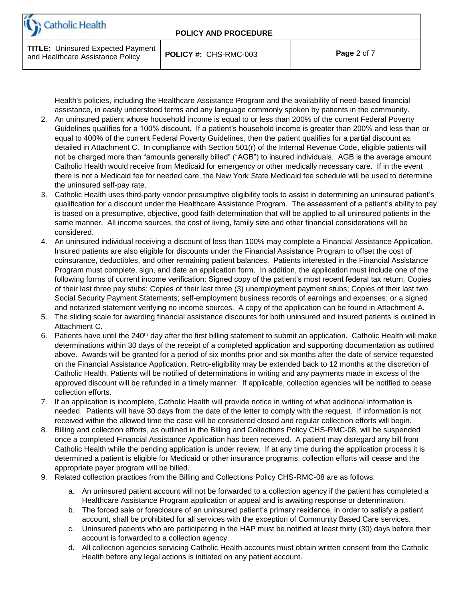

**TITLE:** Uninsured Expected Payment and Healthcare Assistance Policy **POLICY #:** CHS-RMC-003 **Page** <sup>2</sup> of 7

Health's policies, including the Healthcare Assistance Program and the availability of need-based financial assistance, in easily understood terms and any language commonly spoken by patients in the community.

- 2. An uninsured patient whose household income is equal to or less than 200% of the current Federal Poverty Guidelines qualifies for a 100% discount. If a patient's household income is greater than 200% and less than or equal to 400% of the current Federal Poverty Guidelines, then the patient qualifies for a partial discount as detailed in Attachment C. In compliance with Section 501(r) of the Internal Revenue Code, eligible patients will not be charged more than "amounts generally billed" ("AGB") to insured individuals. AGB is the average amount Catholic Health would receive from Medicaid for emergency or other medically necessary care. If in the event there is not a Medicaid fee for needed care, the New York State Medicaid fee schedule will be used to determine the uninsured self-pay rate.
- 3. Catholic Health uses third-party vendor presumptive eligibility tools to assist in determining an uninsured patient's qualification for a discount under the Healthcare Assistance Program. The assessment of a patient's ability to pay is based on a presumptive, objective, good faith determination that will be applied to all uninsured patients in the same manner. All income sources, the cost of living, family size and other financial considerations will be considered.
- 4. An uninsured individual receiving a discount of less than 100% may complete a Financial Assistance Application. Insured patients are also eligible for discounts under the Financial Assistance Program to offset the cost of coinsurance, deductibles, and other remaining patient balances. Patients interested in the Financial Assistance Program must complete, sign, and date an application form. In addition, the application must include one of the following forms of current income verification: Signed copy of the patient's most recent federal tax return; Copies of their last three pay stubs; Copies of their last three (3) unemployment payment stubs; Copies of their last two Social Security Payment Statements; self-employment business records of earnings and expenses; or a signed and notarized statement verifying no income sources. A copy of the application can be found in Attachment A.
- 5. The sliding scale for awarding financial assistance discounts for both uninsured and insured patients is outlined in Attachment C.
- 6. Patients have until the  $240<sup>th</sup>$  day after the first billing statement to submit an application. Catholic Health will make determinations within 30 days of the receipt of a completed application and supporting documentation as outlined above. Awards will be granted for a period of six months prior and six months after the date of service requested on the Financial Assistance Application. Retro-eligibility may be extended back to 12 months at the discretion of Catholic Health. Patients will be notified of determinations in writing and any payments made in excess of the approved discount will be refunded in a timely manner. If applicable, collection agencies will be notified to cease collection efforts.
- 7. If an application is incomplete, Catholic Health will provide notice in writing of what additional information is needed. Patients will have 30 days from the date of the letter to comply with the request. If information is not received within the allowed time the case will be considered closed and regular collection efforts will begin.
- 8. Billing and collection efforts, as outlined in the Billing and Collections Policy CHS-RMC-08, will be suspended once a completed Financial Assistance Application has been received. A patient may disregard any bill from Catholic Health while the pending application is under review. If at any time during the application process it is determined a patient is eligible for Medicaid or other insurance programs, collection efforts will cease and the appropriate payer program will be billed.
- 9. Related collection practices from the Billing and Collections Policy CHS-RMC-08 are as follows:
	- a. An uninsured patient account will not be forwarded to a collection agency if the patient has completed a Healthcare Assistance Program application or appeal and is awaiting response or determination.
	- b. The forced sale or foreclosure of an uninsured patient's primary residence, in order to satisfy a patient account, shall be prohibited for all services with the exception of Community Based Care services.
	- c. Uninsured patients who are participating in the HAP must be notified at least thirty (30) days before their account is forwarded to a collection agency.
	- d. All collection agencies servicing Catholic Health accounts must obtain written consent from the Catholic Health before any legal actions is initiated on any patient account.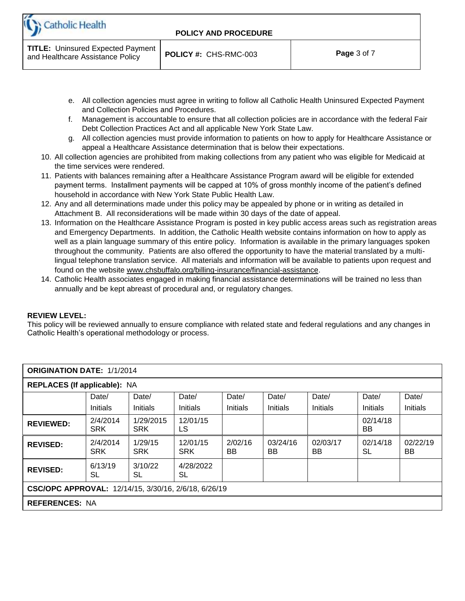

**TITLE:** Uninsured Expected Payment and Healthcare Assistance Policy **POLICY #:** CHS-RMC-003 **Page** <sup>3</sup> of 7

- e. All collection agencies must agree in writing to follow all Catholic Health Uninsured Expected Payment and Collection Policies and Procedures.
- f. Management is accountable to ensure that all collection policies are in accordance with the federal Fair Debt Collection Practices Act and all applicable New York State Law.
- g. All collection agencies must provide information to patients on how to apply for Healthcare Assistance or appeal a Healthcare Assistance determination that is below their expectations.
- 10. All collection agencies are prohibited from making collections from any patient who was eligible for Medicaid at the time services were rendered.
- 11. Patients with balances remaining after a Healthcare Assistance Program award will be eligible for extended payment terms. Installment payments will be capped at 10% of gross monthly income of the patient's defined household in accordance with New York State Public Health Law.
- 12. Any and all determinations made under this policy may be appealed by phone or in writing as detailed in Attachment B. All reconsiderations will be made within 30 days of the date of appeal.
- 13. Information on the Healthcare Assistance Program is posted in key public access areas such as registration areas and Emergency Departments. In addition, the Catholic Health website contains information on how to apply as well as a plain language summary of this entire policy. Information is available in the primary languages spoken throughout the community. Patients are also offered the opportunity to have the material translated by a multilingual telephone translation service. All materials and information will be available to patients upon request and found on the website [www.chsbuffalo.org/billing-insurance/financial-assistance.](http://www.chsbuffalo.org/billing-insurance/financial-assistance)
- 14. Catholic Health associates engaged in making financial assistance determinations will be trained no less than annually and be kept abreast of procedural and, or regulatory changes.

#### **REVIEW LEVEL:**

This policy will be reviewed annually to ensure compliance with related state and federal regulations and any changes in Catholic Health's operational methodology or process.

| <b>ORIGINATION DATE: 1/1/2014</b>                    |                        |                         |                        |               |                |                       |                 |                       |  |
|------------------------------------------------------|------------------------|-------------------------|------------------------|---------------|----------------|-----------------------|-----------------|-----------------------|--|
| REPLACES (If applicable): NA                         |                        |                         |                        |               |                |                       |                 |                       |  |
|                                                      | Date/<br>Date/         |                         | Date/                  | Date/         | Date/          | Date/                 | Date/           | Date/                 |  |
|                                                      | Initials               | <b>Initials</b>         | <b>Initials</b>        | Initials      | Initials       | Initials              | <b>Initials</b> | Initials              |  |
| <b>REVIEWED:</b>                                     | 2/4/2014<br><b>SRK</b> | 1/29/2015<br><b>SRK</b> | 12/01/15<br>LS         |               |                |                       | 02/14/18<br>BB. |                       |  |
| <b>REVISED:</b>                                      | 2/4/2014<br><b>SRK</b> | 1/29/15<br><b>SRK</b>   | 12/01/15<br><b>SRK</b> | 2/02/16<br>BB | 03/24/16<br>BB | 02/03/17<br><b>BB</b> | 02/14/18<br>SL  | 02/22/19<br><b>BB</b> |  |
| <b>REVISED:</b>                                      | 6/13/19<br>SL          | 3/10/22<br>SL           | 4/28/2022<br>SL        |               |                |                       |                 |                       |  |
| CSC/OPC APPROVAL: 12/14/15, 3/30/16, 2/6/18, 6/26/19 |                        |                         |                        |               |                |                       |                 |                       |  |
| <b>REFERENCES: NA</b>                                |                        |                         |                        |               |                |                       |                 |                       |  |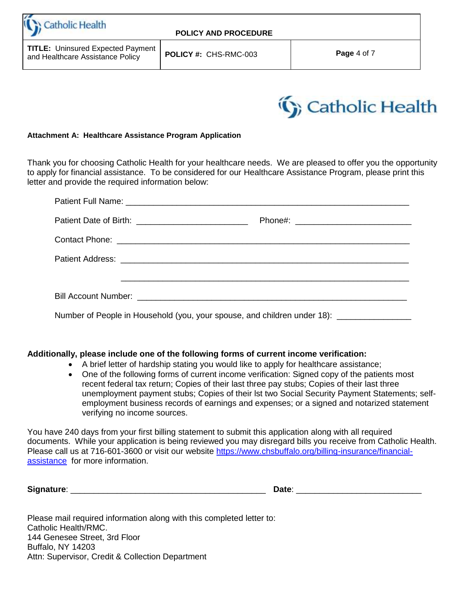**Catholic Health** 

**TITLE:** Uninsured Expected Payment and Healthcare Assistance Policy **POLICY #:** CHS-RMC-003 **Page** <sup>4</sup> of 7



#### **Attachment A: Healthcare Assistance Program Application**

Thank you for choosing Catholic Health for your healthcare needs. We are pleased to offer you the opportunity to apply for financial assistance. To be considered for our Healthcare Assistance Program, please print this letter and provide the required information below:

| Number of People in Household (you, your spouse, and children under 18): __________________________ |  |
|-----------------------------------------------------------------------------------------------------|--|

#### **Additionally, please include one of the following forms of current income verification:**

- A brief letter of hardship stating you would like to apply for healthcare assistance;
- One of the following forms of current income verification: Signed copy of the patients most recent federal tax return; Copies of their last three pay stubs; Copies of their last three unemployment payment stubs; Copies of their lst two Social Security Payment Statements; selfemployment business records of earnings and expenses; or a signed and notarized statement verifying no income sources.

You have 240 days from your first billing statement to submit this application along with all required documents. While your application is being reviewed you may disregard bills you receive from Catholic Health. Please call us at 716-601-3600 or visit our website [https://www.chsbuffalo.org/billing-insurance/financial](https://www.chsbuffalo.org/billing-insurance/financial-assistance)[assistance](https://www.chsbuffalo.org/billing-insurance/financial-assistance) for more information.

**Signature**: \_\_\_\_\_\_\_\_\_\_\_\_\_\_\_\_\_\_\_\_\_\_\_\_\_\_\_\_\_\_\_\_\_\_\_\_\_\_\_\_\_\_ **Date**: \_\_\_\_\_\_\_\_\_\_\_\_\_\_\_\_\_\_\_\_\_\_\_\_\_\_\_

Please mail required information along with this completed letter to: Catholic Health/RMC. 144 Genesee Street, 3rd Floor Buffalo, NY 14203 Attn: Supervisor, Credit & Collection Department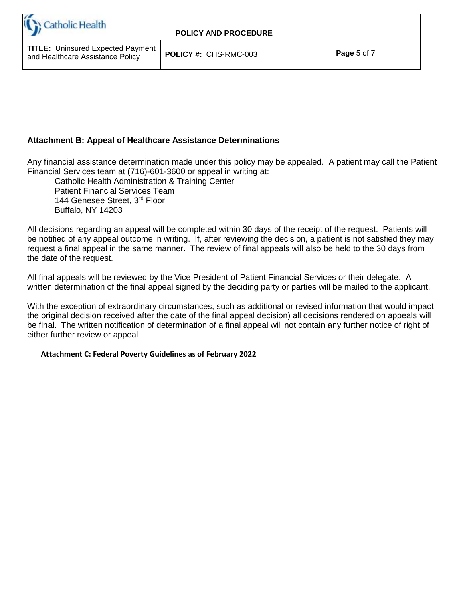## **Attachment B: Appeal of Healthcare Assistance Determinations**

Any financial assistance determination made under this policy may be appealed. A patient may call the Patient Financial Services team at (716)-601-3600 or appeal in writing at:

Catholic Health Administration & Training Center Patient Financial Services Team 144 Genesee Street, 3rd Floor Buffalo, NY 14203

All decisions regarding an appeal will be completed within 30 days of the receipt of the request. Patients will be notified of any appeal outcome in writing. If, after reviewing the decision, a patient is not satisfied they may request a final appeal in the same manner. The review of final appeals will also be held to the 30 days from the date of the request.

All final appeals will be reviewed by the Vice President of Patient Financial Services or their delegate. A written determination of the final appeal signed by the deciding party or parties will be mailed to the applicant.

With the exception of extraordinary circumstances, such as additional or revised information that would impact the original decision received after the date of the final appeal decision) all decisions rendered on appeals will be final. The written notification of determination of a final appeal will not contain any further notice of right of either further review or appeal

#### **Attachment C: Federal Poverty Guidelines as of February 2022**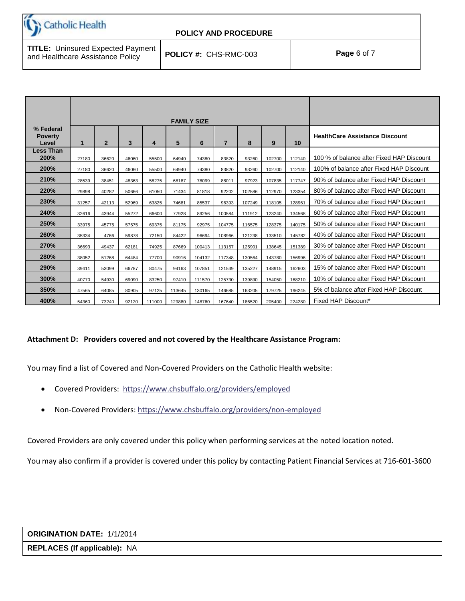**Catholic Health** 

## **POLICY AND PROCEDURE**

**TITLE:** Uninsured Expected Payment and Healthcare Assistance Policy **POLICY #:** CHS-RMC-003 **Page** <sup>6</sup> of 7

|                                      | <b>FAMILY SIZE</b> |                |       |        |        |        |                |        |        |        |                                           |
|--------------------------------------|--------------------|----------------|-------|--------|--------|--------|----------------|--------|--------|--------|-------------------------------------------|
| % Federal<br><b>Poverty</b><br>Level | 1                  | $\overline{2}$ | 3     | 4      | 5      | 6      | $\overline{7}$ | 8      | 9      | 10     | <b>HealthCare Assistance Discount</b>     |
| <b>Less Than</b><br>200%             | 27180              | 36620          | 46060 | 55500  | 64940  | 74380  | 83820          | 93260  | 102700 | 112140 | 100 % of balance after Fixed HAP Discount |
| 200%                                 | 27180              | 36620          | 46060 | 55500  | 64940  | 74380  | 83820          | 93260  | 102700 | 112140 | 100% of balance after Fixed HAP Discount  |
| 210%                                 | 28539              | 38451          | 48363 | 58275  | 68187  | 78099  | 88011          | 97923  | 107835 | 117747 | 90% of balance after Fixed HAP Discount   |
| 220%                                 | 29898              | 40282          | 50666 | 61050  | 71434  | 81818  | 92202          | 102586 | 112970 | 123354 | 80% of balance after Fixed HAP Discount   |
| 230%                                 | 31257              | 42113          | 52969 | 63825  | 74681  | 85537  | 96393          | 107249 | 118105 | 128961 | 70% of balance after Fixed HAP Discount   |
| 240%                                 | 32616              | 43944          | 55272 | 66600  | 77928  | 89256  | 100584         | 111912 | 123240 | 134568 | 60% of balance after Fixed HAP Discount   |
| 250%                                 | 33975              | 45775          | 57575 | 69375  | 81175  | 92975  | 104775         | 116575 | 128375 | 140175 | 50% of balance after Fixed HAP Discount   |
| 260%                                 | 35334              | 4766           | 59878 | 72150  | 84422  | 96694  | 108966         | 121238 | 133510 | 145782 | 40% of balance after Fixed HAP Discount   |
| 270%                                 | 36693              | 49437          | 62181 | 74925  | 87669  | 100413 | 113157         | 125901 | 138645 | 151389 | 30% of balance after Fixed HAP Discount   |
| 280%                                 | 38052              | 51268          | 64484 | 77700  | 90916  | 104132 | 117348         | 130564 | 143780 | 156996 | 20% of balance after Fixed HAP Discount   |
| 290%                                 | 39411              | 53099          | 66787 | 80475  | 94163  | 107851 | 121539         | 135227 | 148915 | 162603 | 15% of balance after Fixed HAP Discount   |
| 300%                                 | 40770              | 54930          | 69090 | 83250  | 97410  | 111570 | 125730         | 139890 | 154050 | 168210 | 10% of balance after Fixed HAP Discount   |
| 350%                                 | 47565              | 64085          | 80905 | 97125  | 113645 | 130165 | 146685         | 163205 | 179725 | 196245 | 5% of balance after Fixed HAP Discount    |
| 400%                                 | 54360              | 73240          | 92120 | 111000 | 129880 | 148760 | 167640         | 186520 | 205400 | 224280 | Fixed HAP Discount*                       |

#### **Attachment D: Providers covered and not covered by the Healthcare Assistance Program:**

You may find a list of Covered and Non-Covered Providers on the Catholic Health website:

- Covered Providers: <https://www.chsbuffalo.org/providers/employed>
- Non-Covered Providers[: https://www.chsbuffalo.org/providers/non-employed](https://www.chsbuffalo.org/providers/non-employed)

Covered Providers are only covered under this policy when performing services at the noted location noted.

You may also confirm if a provider is covered under this policy by contacting Patient Financial Services at 716-601-3600

# **ORIGINATION DATE:** 1/1/2014

**REPLACES (If applicable):** NA